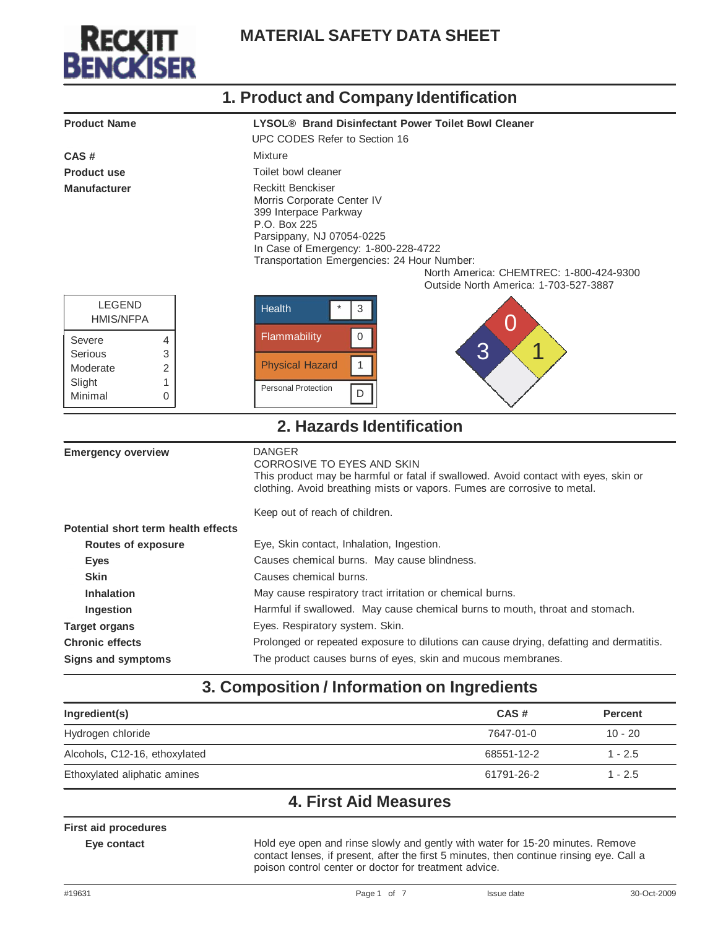

|                                     | 1. Product and Company Identification                                                                                                                                                                                                                                                                   |  |  |
|-------------------------------------|---------------------------------------------------------------------------------------------------------------------------------------------------------------------------------------------------------------------------------------------------------------------------------------------------------|--|--|
| <b>Product Name</b>                 | LYSOL® Brand Disinfectant Power Toilet Bowl Cleaner<br>UPC CODES Refer to Section 16                                                                                                                                                                                                                    |  |  |
| CAS#                                | Mixture                                                                                                                                                                                                                                                                                                 |  |  |
| <b>Product use</b>                  | Toilet bowl cleaner                                                                                                                                                                                                                                                                                     |  |  |
| <b>Manufacturer</b>                 | <b>Reckitt Benckiser</b><br>Morris Corporate Center IV<br>399 Interpace Parkway<br>P.O. Box 225<br>Parsippany, NJ 07054-0225<br>In Case of Emergency: 1-800-228-4722<br>Transportation Emergencies: 24 Hour Number:<br>North America: CHEMTREC: 1-800-424-9300<br>Outside North America: 1-703-527-3887 |  |  |
| <b>LEGEND</b><br><b>HMIS/NFPA</b>   | <b>Health</b><br>3<br>U                                                                                                                                                                                                                                                                                 |  |  |
| Severe<br>4                         | $\mathsf{O}\xspace$<br>Flammability<br>3<br>◢                                                                                                                                                                                                                                                           |  |  |
| Serious<br>3<br>Moderate<br>2       | $\mathbf{1}$<br><b>Physical Hazard</b>                                                                                                                                                                                                                                                                  |  |  |
| Slight<br>1                         |                                                                                                                                                                                                                                                                                                         |  |  |
| Minimal<br>0                        | <b>Personal Protection</b><br>D                                                                                                                                                                                                                                                                         |  |  |
|                                     | 2. Hazards Identification                                                                                                                                                                                                                                                                               |  |  |
| <b>Emergency overview</b>           | <b>DANGER</b><br>CORROSIVE TO EYES AND SKIN<br>This product may be harmful or fatal if swallowed. Avoid contact with eyes, skin or<br>clothing. Avoid breathing mists or vapors. Fumes are corrosive to metal.                                                                                          |  |  |
|                                     | Keep out of reach of children.                                                                                                                                                                                                                                                                          |  |  |
| Potential short term health effects |                                                                                                                                                                                                                                                                                                         |  |  |
| <b>Routes of exposure</b>           | Eye, Skin contact, Inhalation, Ingestion.                                                                                                                                                                                                                                                               |  |  |
| <b>Eyes</b>                         | Causes chemical burns. May cause blindness.                                                                                                                                                                                                                                                             |  |  |
| <b>Skin</b>                         | Causes chemical burns.                                                                                                                                                                                                                                                                                  |  |  |
| <b>Inhalation</b>                   | May cause respiratory tract irritation or chemical burns.                                                                                                                                                                                                                                               |  |  |
| Ingestion                           | Harmful if swallowed. May cause chemical burns to mouth, throat and stomach.                                                                                                                                                                                                                            |  |  |
| <b>Target organs</b>                | Eyes. Respiratory system. Skin.                                                                                                                                                                                                                                                                         |  |  |
| <b>Chronic effects</b>              | Prolonged or repeated exposure to dilutions can cause drying, defatting and dermatitis.                                                                                                                                                                                                                 |  |  |
| <b>Signs and symptoms</b>           | The product causes burns of eyes, skin and mucous membranes.                                                                                                                                                                                                                                            |  |  |

#### **3. Composition / Information on Ingredients**

| Ingredient(s)                 | CAS#       | <b>Percent</b> |
|-------------------------------|------------|----------------|
| Hydrogen chloride             | 7647-01-0  | $10 - 20$      |
| Alcohols, C12-16, ethoxylated | 68551-12-2 | $1 - 2.5$      |
| Ethoxylated aliphatic amines  | 61791-26-2 | $1 - 2.5$      |

#### **4. First Aid Measures**

#### **First aid procedures**

**Eye contact** Hold eye open and rinse slowly and gently with water for 15-20 minutes. Remove contact lenses, if present, after the first 5 minutes, then continue rinsing eye. Call a poison control center or doctor for treatment advice.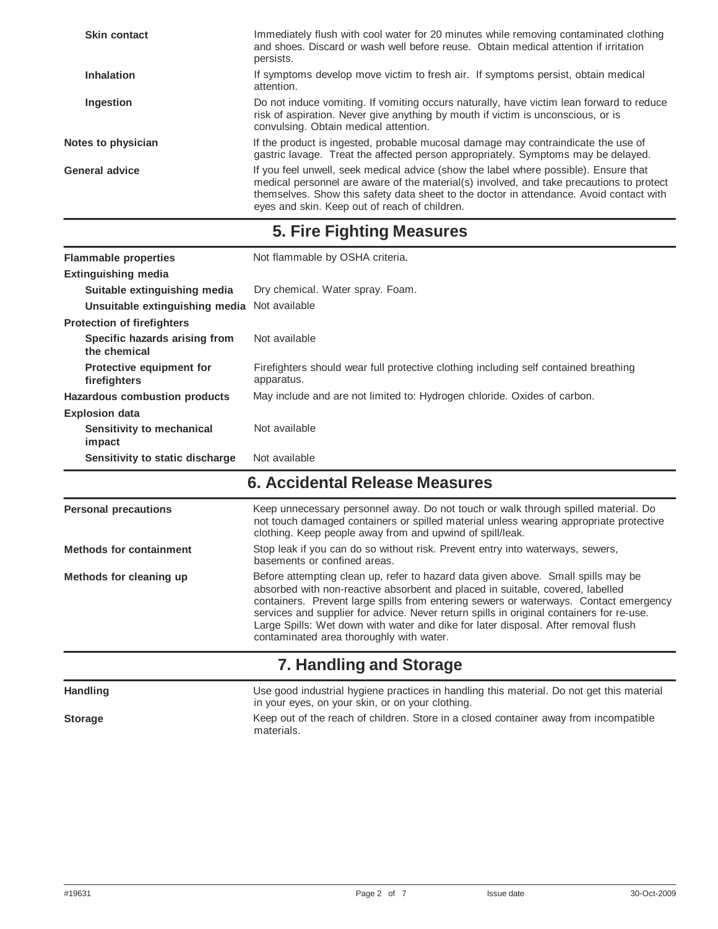| Immediately flush with cool water for 20 minutes while removing contaminated clothing<br>and shoes. Discard or wash well before reuse. Obtain medical attention if irritation<br>persists.                                                                                                                                   |
|------------------------------------------------------------------------------------------------------------------------------------------------------------------------------------------------------------------------------------------------------------------------------------------------------------------------------|
| If symptoms develop move victim to fresh air. If symptoms persist, obtain medical<br>attention.                                                                                                                                                                                                                              |
| Do not induce vomiting. If vomiting occurs naturally, have victim lean forward to reduce<br>risk of aspiration. Never give anything by mouth if victim is unconscious, or is<br>convulsing. Obtain medical attention.                                                                                                        |
| If the product is ingested, probable mucosal damage may contraindicate the use of<br>gastric lavage. Treat the affected person appropriately. Symptoms may be delayed.                                                                                                                                                       |
| If you feel unwell, seek medical advice (show the label where possible). Ensure that<br>medical personnel are aware of the material(s) involved, and take precautions to protect<br>themselves. Show this safety data sheet to the doctor in attendance. Avoid contact with<br>eyes and skin. Keep out of reach of children. |
|                                                                                                                                                                                                                                                                                                                              |

**5. Fire Fighting Measures**

| <b>Flammable properties</b>                   | Not flammable by OSHA criteria.                                                                    |  |
|-----------------------------------------------|----------------------------------------------------------------------------------------------------|--|
| <b>Extinguishing media</b>                    |                                                                                                    |  |
| Suitable extinguishing media                  | Dry chemical. Water spray. Foam.                                                                   |  |
| Unsuitable extinguishing media Not available  |                                                                                                    |  |
| <b>Protection of firefighters</b>             |                                                                                                    |  |
| Specific hazards arising from<br>the chemical | Not available                                                                                      |  |
| Protective equipment for<br>firefighters      | Firefighters should wear full protective clothing including self contained breathing<br>apparatus. |  |
| <b>Hazardous combustion products</b>          | May include and are not limited to: Hydrogen chloride. Oxides of carbon.                           |  |
| <b>Explosion data</b>                         |                                                                                                    |  |
| Sensitivity to mechanical<br>impact           | Not available                                                                                      |  |
| Sensitivity to static discharge               | Not available                                                                                      |  |

#### **6. Accidental Release Measures**

| <b>Personal precautions</b>    | Keep unnecessary personnel away. Do not touch or walk through spilled material. Do<br>not touch damaged containers or spilled material unless wearing appropriate protective<br>clothing. Keep people away from and upwind of spill/leak.                                                                                                                                                                                                                                                  |
|--------------------------------|--------------------------------------------------------------------------------------------------------------------------------------------------------------------------------------------------------------------------------------------------------------------------------------------------------------------------------------------------------------------------------------------------------------------------------------------------------------------------------------------|
| <b>Methods for containment</b> | Stop leak if you can do so without risk. Prevent entry into waterways, sewers,<br>basements or confined areas.                                                                                                                                                                                                                                                                                                                                                                             |
| Methods for cleaning up        | Before attempting clean up, refer to hazard data given above. Small spills may be<br>absorbed with non-reactive absorbent and placed in suitable, covered, labelled<br>containers. Prevent large spills from entering sewers or waterways. Contact emergency<br>services and supplier for advice. Never return spills in original containers for re-use.<br>Large Spills: Wet down with water and dike for later disposal. After removal flush<br>contaminated area thoroughly with water. |
|                                | 7. Handling and Storage                                                                                                                                                                                                                                                                                                                                                                                                                                                                    |
| <b>Handling</b>                | Use good industrial hygiene practices in handling this material. Do not get this material<br>in your eyes, on your skin, or on your clothing.                                                                                                                                                                                                                                                                                                                                              |
| <b>Storage</b>                 | Keep out of the reach of children. Store in a closed container away from incompatible                                                                                                                                                                                                                                                                                                                                                                                                      |

materials.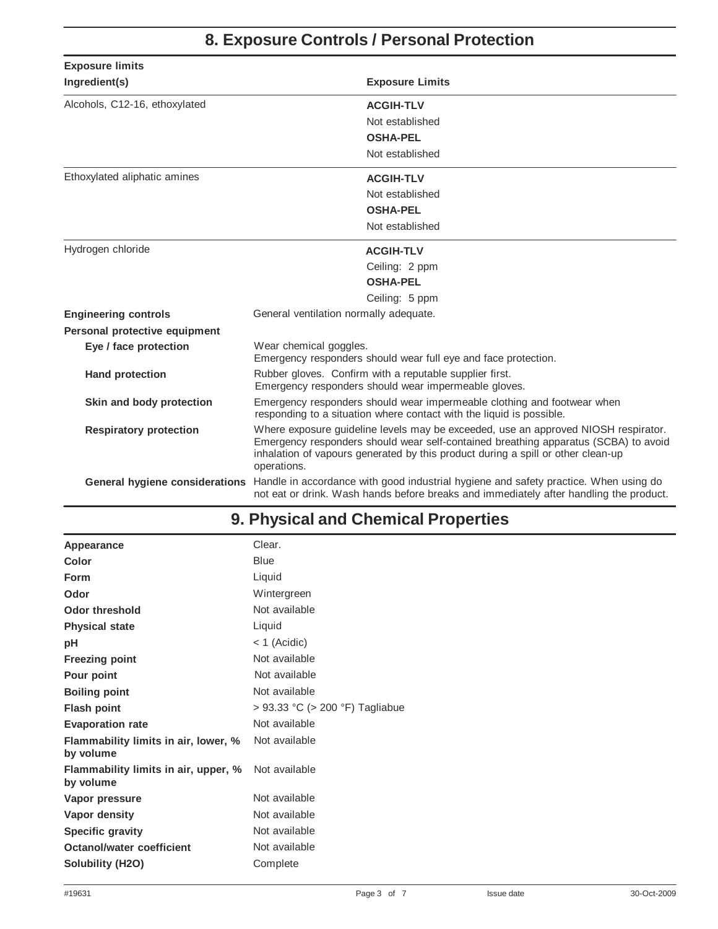# **8. Exposure Controls / Personal Protection**

| <b>Exposure limits</b>        |                                                                                                                                                                                                                                                                              |  |
|-------------------------------|------------------------------------------------------------------------------------------------------------------------------------------------------------------------------------------------------------------------------------------------------------------------------|--|
| Ingredient(s)                 | <b>Exposure Limits</b>                                                                                                                                                                                                                                                       |  |
| Alcohols, C12-16, ethoxylated | <b>ACGIH-TLV</b>                                                                                                                                                                                                                                                             |  |
|                               | Not established                                                                                                                                                                                                                                                              |  |
|                               | <b>OSHA-PEL</b>                                                                                                                                                                                                                                                              |  |
|                               | Not established                                                                                                                                                                                                                                                              |  |
| Ethoxylated aliphatic amines  | <b>ACGIH-TLV</b>                                                                                                                                                                                                                                                             |  |
|                               | Not established                                                                                                                                                                                                                                                              |  |
|                               | <b>OSHA-PEL</b>                                                                                                                                                                                                                                                              |  |
|                               | Not established                                                                                                                                                                                                                                                              |  |
| Hydrogen chloride             | <b>ACGIH-TLV</b>                                                                                                                                                                                                                                                             |  |
|                               | Ceiling: 2 ppm                                                                                                                                                                                                                                                               |  |
|                               | <b>OSHA-PEL</b>                                                                                                                                                                                                                                                              |  |
|                               | Ceiling: 5 ppm                                                                                                                                                                                                                                                               |  |
| <b>Engineering controls</b>   | General ventilation normally adequate.                                                                                                                                                                                                                                       |  |
| Personal protective equipment |                                                                                                                                                                                                                                                                              |  |
| Eye / face protection         | Wear chemical goggles.<br>Emergency responders should wear full eye and face protection.                                                                                                                                                                                     |  |
| <b>Hand protection</b>        | Rubber gloves. Confirm with a reputable supplier first.<br>Emergency responders should wear impermeable gloves.                                                                                                                                                              |  |
| Skin and body protection      | Emergency responders should wear impermeable clothing and footwear when<br>responding to a situation where contact with the liquid is possible.                                                                                                                              |  |
| <b>Respiratory protection</b> | Where exposure guideline levels may be exceeded, use an approved NIOSH respirator.<br>Emergency responders should wear self-contained breathing apparatus (SCBA) to avoid<br>inhalation of vapours generated by this product during a spill or other clean-up<br>operations. |  |
|                               | General hygiene considerations Handle in accordance with good industrial hygiene and safety practice. When using do<br>not eat or drink. Wash hands before breaks and immediately after handling the product.                                                                |  |

# **9. Physical and Chemical Properties**

| Appearance                                        | Clear.                          |
|---------------------------------------------------|---------------------------------|
| Color                                             | <b>Blue</b>                     |
| <b>Form</b>                                       | Liquid                          |
| Odor                                              | Wintergreen                     |
| <b>Odor threshold</b>                             | Not available                   |
| <b>Physical state</b>                             | Liquid                          |
| pH                                                | $<$ 1 (Acidic)                  |
| <b>Freezing point</b>                             | Not available                   |
| Pour point                                        | Not available                   |
| <b>Boiling point</b>                              | Not available                   |
| <b>Flash point</b>                                | > 93.33 °C (> 200 °F) Tagliabue |
| <b>Evaporation rate</b>                           | Not available                   |
| Flammability limits in air, lower, %<br>by volume | Not available                   |
| Flammability limits in air, upper, %<br>by volume | Not available                   |
| Vapor pressure                                    | Not available                   |
| Vapor density                                     | Not available                   |
| Specific gravity                                  | Not available                   |
| Octanol/water coefficient                         | Not available                   |
| Solubility (H2O)                                  | Complete                        |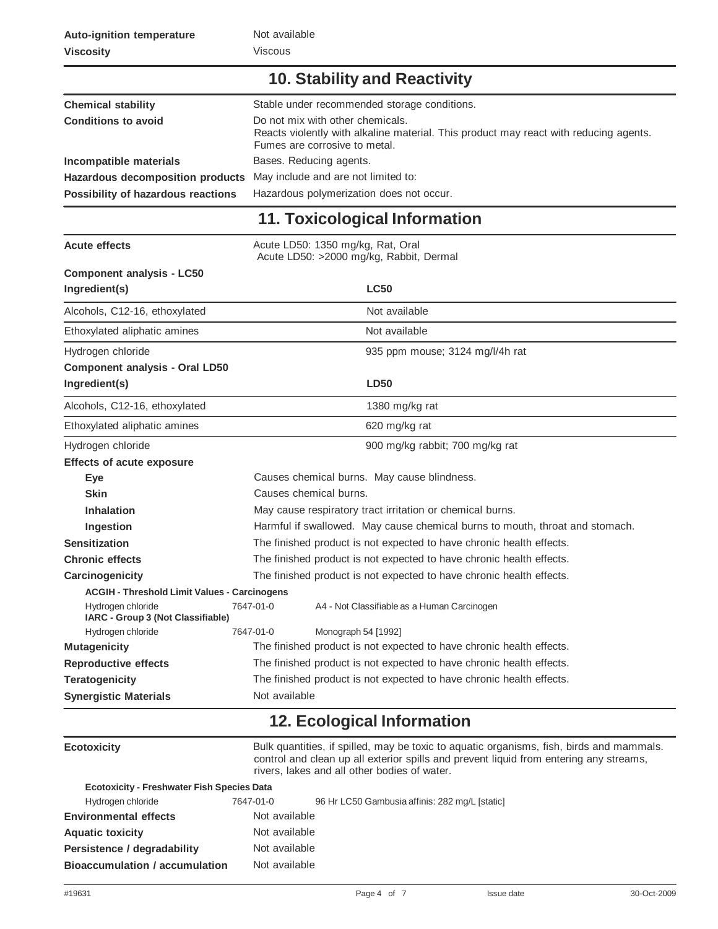#### **10. Stability and Reactivity**

| <b>Chemical stability</b>          | Stable under recommended storage conditions.                                                                                                               |  |
|------------------------------------|------------------------------------------------------------------------------------------------------------------------------------------------------------|--|
| <b>Conditions to avoid</b>         | Do not mix with other chemicals.<br>Reacts violently with alkaline material. This product may react with reducing agents.<br>Fumes are corrosive to metal. |  |
| Incompatible materials             | Bases. Reducing agents.                                                                                                                                    |  |
| Hazardous decomposition products   | May include and are not limited to:                                                                                                                        |  |
| Possibility of hazardous reactions | Hazardous polymerization does not occur.                                                                                                                   |  |

# **11. Toxicological Information**

| <b>Acute effects</b>                                   | Acute LD50: 1350 mg/kg, Rat, Oral<br>Acute LD50: >2000 mg/kg, Rabbit, Dermal |                                             |  |
|--------------------------------------------------------|------------------------------------------------------------------------------|---------------------------------------------|--|
| <b>Component analysis - LC50</b>                       |                                                                              |                                             |  |
| Ingredient(s)                                          | <b>LC50</b>                                                                  |                                             |  |
| Alcohols, C12-16, ethoxylated                          | Not available                                                                |                                             |  |
| Ethoxylated aliphatic amines                           | Not available                                                                |                                             |  |
| Hydrogen chloride                                      | 935 ppm mouse; 3124 mg/l/4h rat                                              |                                             |  |
| <b>Component analysis - Oral LD50</b>                  |                                                                              |                                             |  |
| Ingredient(s)                                          |                                                                              | <b>LD50</b>                                 |  |
| Alcohols, C12-16, ethoxylated                          | 1380 mg/kg rat                                                               |                                             |  |
| Ethoxylated aliphatic amines                           | 620 mg/kg rat                                                                |                                             |  |
| Hydrogen chloride                                      | 900 mg/kg rabbit; 700 mg/kg rat                                              |                                             |  |
| <b>Effects of acute exposure</b>                       |                                                                              |                                             |  |
| Eye                                                    | Causes chemical burns. May cause blindness.                                  |                                             |  |
| <b>Skin</b>                                            | Causes chemical burns.                                                       |                                             |  |
| <b>Inhalation</b>                                      | May cause respiratory tract irritation or chemical burns.                    |                                             |  |
| Ingestion                                              | Harmful if swallowed. May cause chemical burns to mouth, throat and stomach. |                                             |  |
| <b>Sensitization</b>                                   | The finished product is not expected to have chronic health effects.         |                                             |  |
| <b>Chronic effects</b>                                 | The finished product is not expected to have chronic health effects.         |                                             |  |
| Carcinogenicity                                        | The finished product is not expected to have chronic health effects.         |                                             |  |
| <b>ACGIH - Threshold Limit Values - Carcinogens</b>    |                                                                              |                                             |  |
| Hydrogen chloride<br>IARC - Group 3 (Not Classifiable) | 7647-01-0                                                                    | A4 - Not Classifiable as a Human Carcinogen |  |
| Hydrogen chloride                                      | 7647-01-0<br>Monograph 54 [1992]                                             |                                             |  |
| <b>Mutagenicity</b>                                    | The finished product is not expected to have chronic health effects.         |                                             |  |
| <b>Reproductive effects</b>                            | The finished product is not expected to have chronic health effects.         |                                             |  |
| <b>Teratogenicity</b>                                  | The finished product is not expected to have chronic health effects.         |                                             |  |
| <b>Synergistic Materials</b>                           | Not available                                                                |                                             |  |

#### **12. Ecological Information**

| <b>Ecotoxicity</b>                                |         | Bulk quantities, if spilled, may be toxic to aquatic organisms, fish, birds and mammals.<br>control and clean up all exterior spills and prevent liquid from entering any streams,<br>rivers, lakes and all other bodies of water. |
|---------------------------------------------------|---------|------------------------------------------------------------------------------------------------------------------------------------------------------------------------------------------------------------------------------------|
| <b>Ecotoxicity - Freshwater Fish Species Data</b> |         |                                                                                                                                                                                                                                    |
| Lhudsonon oblosido                                | 7017010 | 00 Ust OFO Cambusia official 200 mail Istorial                                                                                                                                                                                     |

| Hydrogen chloride                     | 7647-01-0     | 96 Hr LC50 Gambusia affinis: 282 mg/L [static] |
|---------------------------------------|---------------|------------------------------------------------|
| <b>Environmental effects</b>          | Not available |                                                |
| <b>Aquatic toxicity</b>               | Not available |                                                |
| Persistence / degradability           | Not available |                                                |
| <b>Bioaccumulation / accumulation</b> | Not available |                                                |

space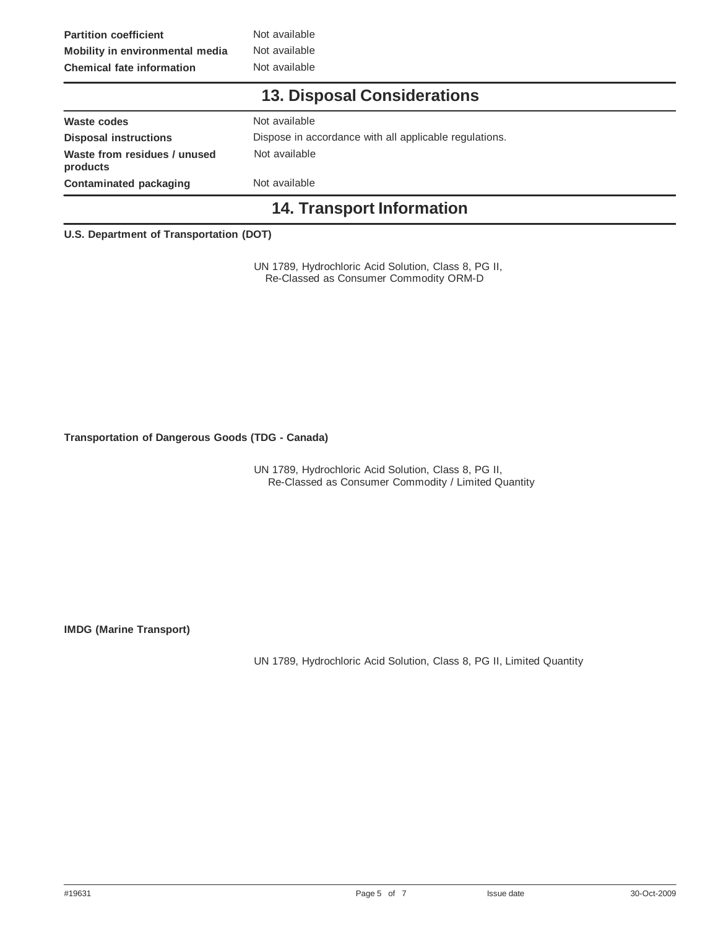**Partition coefficient Not available Mobility in environmental media** Not available **Chemical fate information** Not available

#### **13. Disposal Considerations**

| Waste codes                              | Not available                                          |
|------------------------------------------|--------------------------------------------------------|
| <b>Disposal instructions</b>             | Dispose in accordance with all applicable regulations. |
| Waste from residues / unused<br>products | Not available                                          |
| Contaminated packaging                   | Not available                                          |
|                                          |                                                        |

#### **14. Transport Information**

#### **U.S. Department of Transportation (DOT)**

UN 1789, Hydrochloric Acid Solution, Class 8, PG II, Re-Classed as Consumer Commodity ORM-D

**Transportation of Dangerous Goods (TDG - Canada)**

UN 1789, Hydrochloric Acid Solution, Class 8, PG II, Re-Classed as Consumer Commodity / Limited Quantity

**IMDG (Marine Transport)**

UN 1789, Hydrochloric Acid Solution, Class 8, PG II, Limited Quantity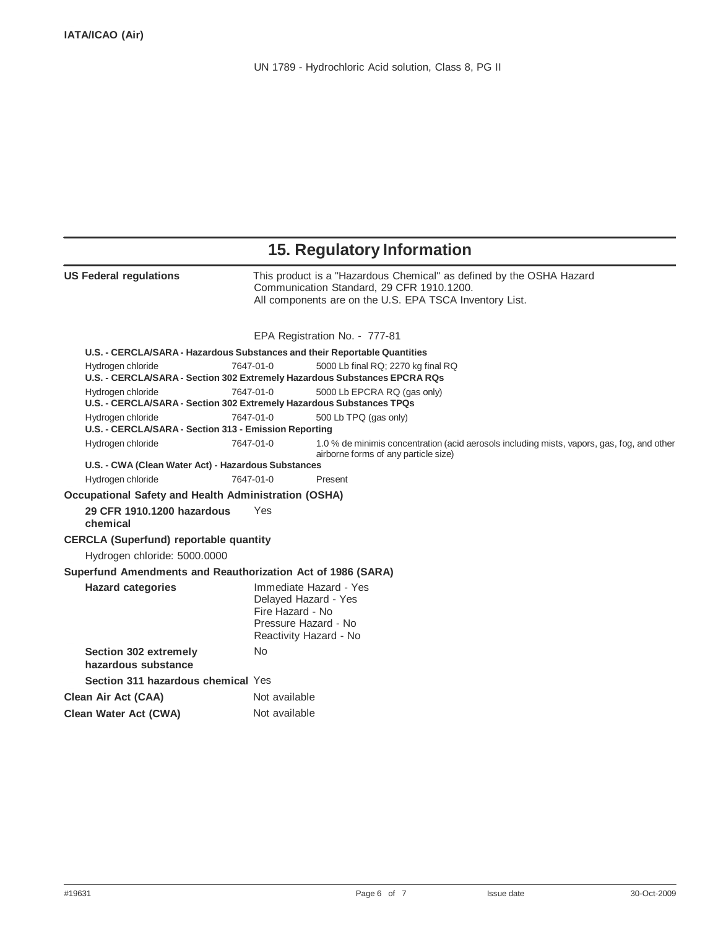